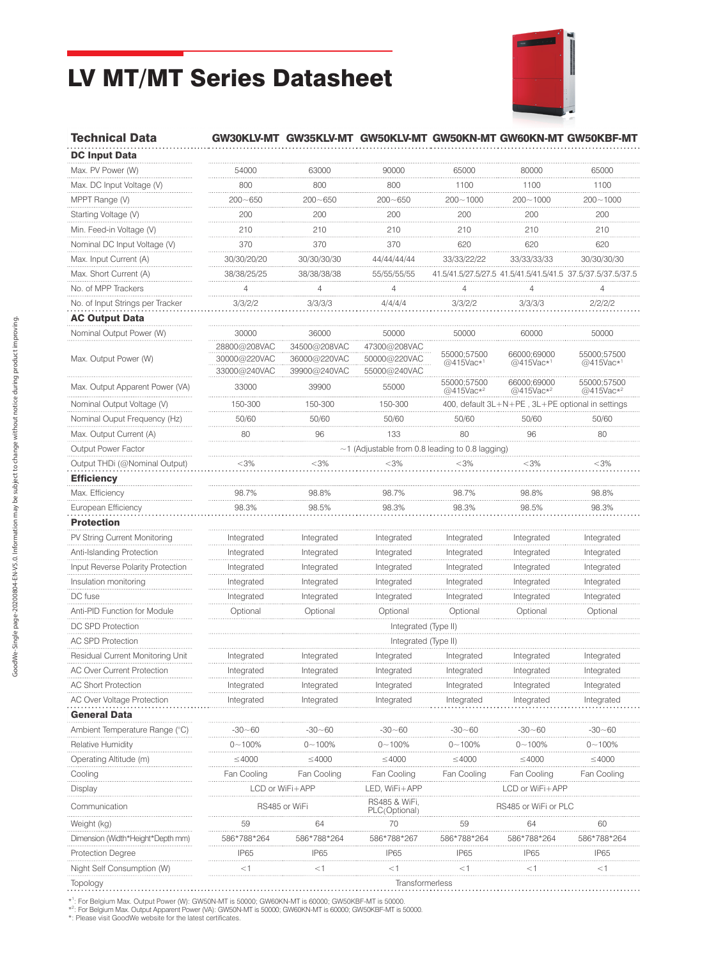## LV MT/MT Series Datasheet



## Technical Data GW30KLV-MT GW35KLV-MT GW50KLV-MT GW50KN-MT GW60KN-MT GW50KBF-MT

| <b>DC Input Data</b>              |                                                 |                                              |                                              |                                                  |                                      |                                                             |  |  |  |  |
|-----------------------------------|-------------------------------------------------|----------------------------------------------|----------------------------------------------|--------------------------------------------------|--------------------------------------|-------------------------------------------------------------|--|--|--|--|
| Max. PV Power (W)                 | 54000                                           | 63000                                        | 90000                                        | 65000                                            | 80000                                | 65000                                                       |  |  |  |  |
| Max. DC Input Voltage (V)         | 800                                             | 800                                          | 800                                          | 1100                                             | 1100                                 | 1100                                                        |  |  |  |  |
| MPPT Range (V)                    | $200 - 650$                                     | $200 - 650$                                  | $200 - 650$                                  | 200~1000                                         | $200 - 1000$                         | $200 - 1000$                                                |  |  |  |  |
| Starting Voltage (V)              | 200                                             | 200                                          | 200                                          | 200                                              | 200                                  | 200                                                         |  |  |  |  |
| Min. Feed-in Voltage (V)          | 210                                             | 210                                          | 210                                          | 210                                              | 210                                  | 210                                                         |  |  |  |  |
| Nominal DC Input Voltage (V)      | 370                                             | 370                                          | 370                                          | 620                                              | 620                                  | 620                                                         |  |  |  |  |
| Max. Input Current (A)            | 30/30/20/20                                     | 30/30/30/30                                  | 44/44/44/44                                  | 33/33/22/22                                      | 33/33/33/33                          | 30/30/30/30                                                 |  |  |  |  |
| Max. Short Current (A)            | 38/38/25/25                                     | 38/38/38/38                                  | 55/55/55/55                                  |                                                  |                                      | 41.5/41.5/27.5/27.5 41.5/41.5/41.5/41.5 37.5/37.5/37.5/37.5 |  |  |  |  |
| No. of MPP Trackers               | 4                                               | 4                                            | 4                                            | $\overline{4}$                                   | 4                                    | 4                                                           |  |  |  |  |
| No. of Input Strings per Tracker  | 3/3/2/2                                         | 3/3/3/3                                      | 4/4/4/4                                      | 3/3/2/2                                          | 3/3/3/3                              | 2/2/2/2                                                     |  |  |  |  |
| <b>AC Output Data</b>             |                                                 |                                              |                                              |                                                  |                                      |                                                             |  |  |  |  |
| Nominal Output Power (W)          | 30000                                           | 36000                                        | 50000                                        | 50000                                            | 60000                                | 50000                                                       |  |  |  |  |
| Max. Output Power (W)             | 28800@208VAC<br>30000@220VAC<br>33000@240VAC    | 34500@208VAC<br>36000@220VAC<br>39900@240VAC | 47300@208VAC<br>50000@220VAC<br>55000@240VAC | 55000;57500<br>@415Vac* <sup>1</sup>             | 66000;69000<br>@415Vac <sup>*1</sup> | 55000;57500<br>@415Vac*1                                    |  |  |  |  |
| Max. Output Apparent Power (VA)   | 33000                                           | 39900                                        | 55000                                        | 55000;57500<br>@415Vac*2                         | 66000;69000<br>@415Vac*2             | 55000;57500<br>@415Vac*2                                    |  |  |  |  |
| Nominal Output Voltage (V)        | 150-300                                         | 150-300                                      | 150-300                                      | 400, default 3L+N+PE, 3L+PE optional in settings |                                      |                                                             |  |  |  |  |
| Nominal Ouput Frequency (Hz)      | 50/60                                           | 50/60                                        | 50/60                                        | 50/60                                            | 50/60                                | 50/60                                                       |  |  |  |  |
| Max. Output Current (A)           | 80                                              | 96                                           | 133                                          | 80                                               | 96                                   | 80                                                          |  |  |  |  |
| Output Power Factor               | ~1 (Adjustable from 0.8 leading to 0.8 lagging) |                                              |                                              |                                                  |                                      |                                                             |  |  |  |  |
| Output THDi (@Nominal Output)     | $<$ 3%                                          | $<$ 3%                                       | <3%                                          | <3%                                              | $<$ 3%                               | $<$ 3%                                                      |  |  |  |  |
| <b>Efficiency</b>                 |                                                 |                                              |                                              |                                                  |                                      |                                                             |  |  |  |  |
| Max. Efficiency                   | 98.7%                                           | 98.8%                                        | 98.7%                                        | 98.7%                                            | 98.8%                                | 98.8%                                                       |  |  |  |  |
| European Efficiency               | 98.3%                                           | 98.5%                                        | 98.3%                                        | 98.3%                                            | 98.5%                                | 98.3%                                                       |  |  |  |  |
| <b>Protection</b>                 |                                                 |                                              |                                              |                                                  |                                      |                                                             |  |  |  |  |
| PV String Current Monitoring      | Integrated                                      | Integrated                                   | Integrated                                   | Integrated                                       | Integrated                           | Integrated                                                  |  |  |  |  |
| Anti-Islanding Protection         | Integrated                                      | Integrated                                   | Integrated                                   | Integrated                                       | Integrated                           | Integrated                                                  |  |  |  |  |
| Input Reverse Polarity Protection | Integrated                                      | Integrated                                   | Integrated                                   | Integrated                                       | Integrated                           | Integrated                                                  |  |  |  |  |
| Insulation monitoring             | Integrated                                      | Integrated                                   | Integrated                                   | Integrated                                       | Integrated                           | Integrated                                                  |  |  |  |  |
| DC fuse                           | Integrated                                      | Integrated                                   | Integrated                                   | Integrated                                       | Integrated                           | Integrated                                                  |  |  |  |  |
| Anti-PID Function for Module      | Optional                                        | Optional                                     | Optional                                     | Optional                                         | Optional                             | Optional                                                    |  |  |  |  |
| DC SPD Protection                 |                                                 |                                              | Integrated (Type II)                         |                                                  |                                      |                                                             |  |  |  |  |
| <b>AC SPD Protection</b>          | Integrated (Type II)                            |                                              |                                              |                                                  |                                      |                                                             |  |  |  |  |
| Residual Current Monitoring Unit  | Integrated                                      | Integrated                                   | Integrated                                   | Integrated                                       | Integrated                           | Integrated                                                  |  |  |  |  |
| <b>AC Over Current Protection</b> | Integrated                                      | Integrated                                   | Integrated                                   | Integrated                                       | Integrated                           | Integrated                                                  |  |  |  |  |
| AC Short Protection               | Integrated                                      | ıntegrated                                   | megrated                                     | megrated                                         | megrated                             | megrated                                                    |  |  |  |  |
| AC Over Voltage Protection        | Integrated                                      | Integrated                                   | Integrated                                   | Integrated                                       | Integrated                           | Integrated                                                  |  |  |  |  |
| <b>General Data</b>               |                                                 |                                              |                                              |                                                  |                                      |                                                             |  |  |  |  |
| Ambient Temperature Range (°C)    | -30~60                                          | -30~60                                       | -30~60                                       | -30~60                                           | -30~60                               | 30~60                                                       |  |  |  |  |
| Relative Humidity                 | 0~100%                                          | $0 - 100\%$                                  | 0~100%                                       | 0~100%                                           | $0 - 100%$                           | 0~100%                                                      |  |  |  |  |
| Operating Altitude (m)            | ≤4000                                           | ≤4000                                        | $\leq$ 4000                                  | $\leq 4000$                                      | $\leq 4000$                          | ≤4000                                                       |  |  |  |  |
| Cooling                           | Fan Cooling                                     | Fan Cooling                                  | Fan Cooling                                  | Fan Cooling                                      | Fan Cooling                          | Fan Cooling                                                 |  |  |  |  |
| Display                           |                                                 | LCD or WiFi+APP                              | LED, WiFi+APP                                |                                                  | LCD or WiFi+APP                      |                                                             |  |  |  |  |
| Communication                     | RS485 or WiFi                                   |                                              | RS485 & WiFi,                                | RS485 or WiFi or PLC                             |                                      |                                                             |  |  |  |  |
| Weight (kg)                       | 59                                              | 64                                           | PLC(Optional)<br>70                          | 59                                               | 64                                   | 60                                                          |  |  |  |  |
| Dimension (Width*Height*Depth mm) | 586*788*264                                     | 586*788*264                                  | 586*788*267                                  | 586*788*264                                      | 586*788*264                          | 586*788*264                                                 |  |  |  |  |
| <b>Protection Degree</b>          | IP65                                            | <b>IP65</b>                                  | <b>IP65</b>                                  | IP65                                             | <b>IP65</b>                          | <b>IP65</b>                                                 |  |  |  |  |
|                                   | $<$ 1                                           | $<$ 1                                        | $<$ 1                                        | $<$ 1                                            | <1                                   | <1                                                          |  |  |  |  |
| Night Self Consumption (W)        |                                                 |                                              | Transformerless                              |                                                  |                                      |                                                             |  |  |  |  |

\*<sup>1</sup>: For Belgium Max. Output Power (W): GW50N-MT is 50000; GW60KN-MT is 60000; GW50KBF-MT is 50000.<br>\*<sup>2</sup>: For Belgium Max. Output Apparent Power (VA): GW50N-MT is 50000; GW60KN-MT is 60000; GW50KBF-MT is 50000.<br>\*: Please